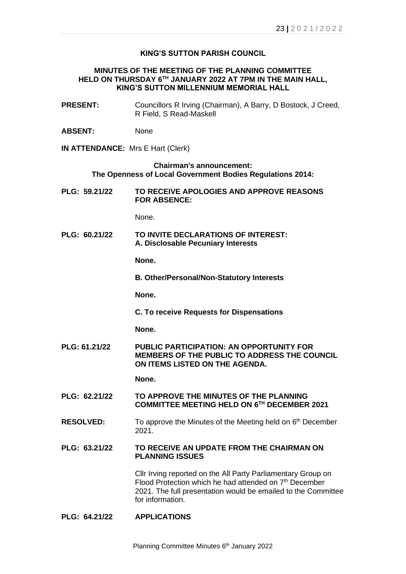### **KING'S SUTTON PARISH COUNCIL**

#### **MINUTES OF THE MEETING OF THE PLANNING COMMITTEE HELD ON THURSDAY 6 TH JANUARY 2022 AT 7PM IN THE MAIN HALL, KING'S SUTTON MILLENNIUM MEMORIAL HALL**

**PRESENT:** Councillors R Irving (Chairman), A Barry, D Bostock, J Creed, R Field, S Read-Maskell **ABSENT:** None **IN ATTENDANCE:** Mrs E Hart (Clerk) **Chairman's announcement: The Openness of Local Government Bodies Regulations 2014: PLG: 59.21/22 TO RECEIVE APOLOGIES AND APPROVE REASONS FOR ABSENCE:** None. **PLG: 60.21/22 TO INVITE DECLARATIONS OF INTEREST: A. Disclosable Pecuniary Interests None. B. Other/Personal/Non-Statutory Interests None. C. To receive Requests for Dispensations None. PLG: 61.21/22 PUBLIC PARTICIPATION: AN OPPORTUNITY FOR MEMBERS OF THE PUBLIC TO ADDRESS THE COUNCIL ON ITEMS LISTED ON THE AGENDA. None. PLG: 62.21/22 TO APPROVE THE MINUTES OF THE PLANNING COMMITTEE MEETING HELD ON 6 TH DECEMBER 2021 RESOLVED:** To approve the Minutes of the Meeting held on 6<sup>th</sup> December 2021. **PLG: 63.21/22 TO RECEIVE AN UPDATE FROM THE CHAIRMAN ON PLANNING ISSUES** Cllr Irving reported on the All Party Parliamentary Group on Flood Protection which he had attended on 7<sup>th</sup> December 2021. The full presentation would be emailed to the Committee for information. **PLG: 64.21/22 APPLICATIONS**